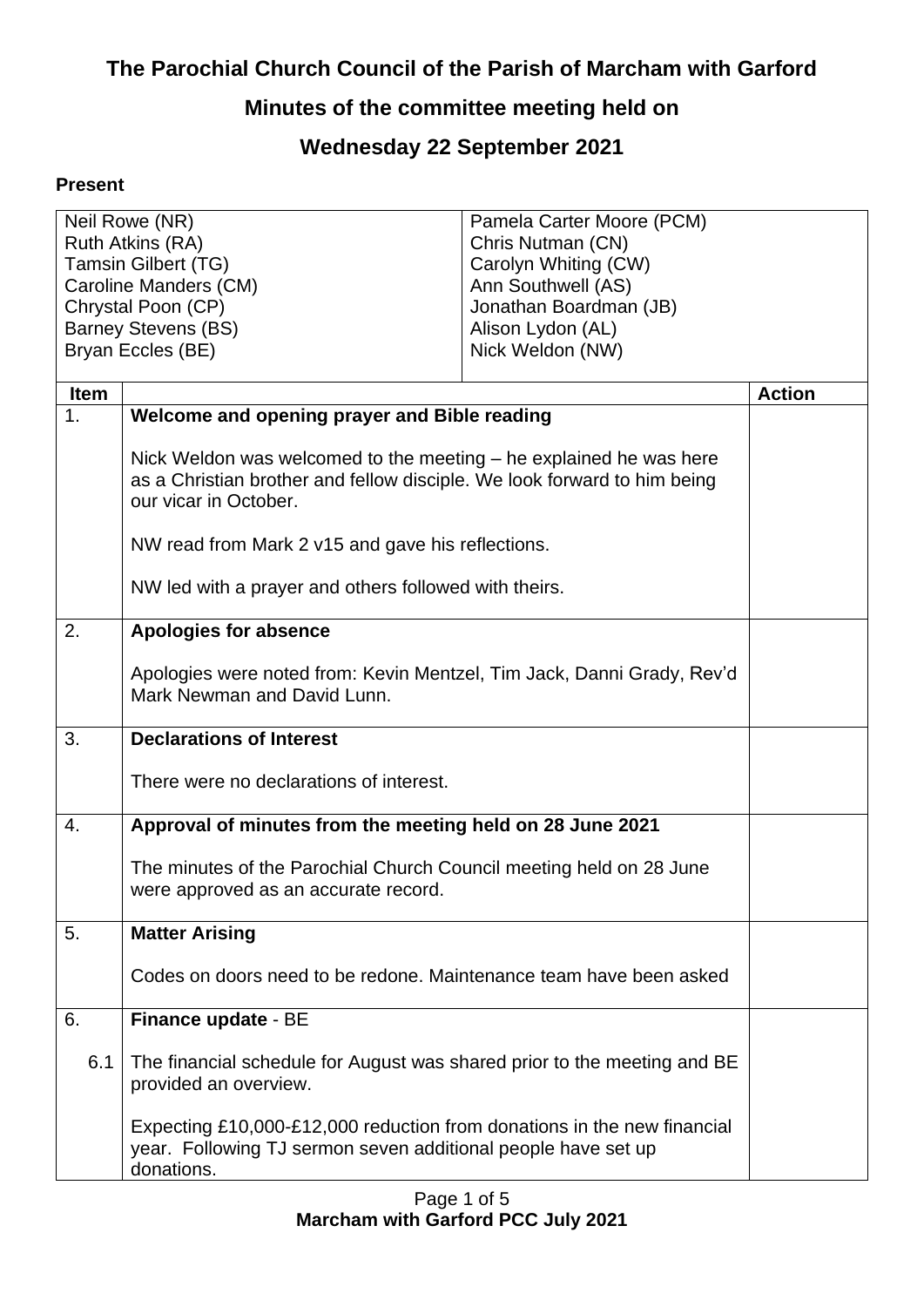# **The Parochial Church Council of the Parish of Marcham with Garford**

## **Minutes of the committee meeting held on**

## **Wednesday 22 September 2021**

### **Present**

| Neil Rowe (NR)             |                                                                                                   | Pamela Carter Moore (PCM) |               |
|----------------------------|---------------------------------------------------------------------------------------------------|---------------------------|---------------|
| Ruth Atkins (RA)           |                                                                                                   | Chris Nutman (CN)         |               |
| <b>Tamsin Gilbert (TG)</b> |                                                                                                   | Carolyn Whiting (CW)      |               |
| Caroline Manders (CM)      |                                                                                                   | Ann Southwell (AS)        |               |
| Chrystal Poon (CP)         |                                                                                                   | Jonathan Boardman (JB)    |               |
|                            | <b>Barney Stevens (BS)</b>                                                                        | Alison Lydon (AL)         |               |
|                            | Bryan Eccles (BE)                                                                                 | Nick Weldon (NW)          |               |
| <b>Item</b>                |                                                                                                   |                           | <b>Action</b> |
| 1.                         |                                                                                                   |                           |               |
|                            | Welcome and opening prayer and Bible reading                                                      |                           |               |
|                            | Nick Weldon was welcomed to the meeting – he explained he was here                                |                           |               |
|                            |                                                                                                   |                           |               |
|                            | as a Christian brother and fellow disciple. We look forward to him being<br>our vicar in October. |                           |               |
|                            |                                                                                                   |                           |               |
|                            | NW read from Mark 2 v15 and gave his reflections.                                                 |                           |               |
|                            |                                                                                                   |                           |               |
|                            | NW led with a prayer and others followed with theirs.                                             |                           |               |
|                            |                                                                                                   |                           |               |
| 2.                         | <b>Apologies for absence</b>                                                                      |                           |               |
|                            |                                                                                                   |                           |               |
|                            | Apologies were noted from: Kevin Mentzel, Tim Jack, Danni Grady, Rev'd                            |                           |               |
|                            | Mark Newman and David Lunn.                                                                       |                           |               |
| 3.                         | <b>Declarations of Interest</b>                                                                   |                           |               |
|                            |                                                                                                   |                           |               |
|                            | There were no declarations of interest.                                                           |                           |               |
|                            |                                                                                                   |                           |               |
| $\overline{4}$ .           | Approval of minutes from the meeting held on 28 June 2021                                         |                           |               |
|                            |                                                                                                   |                           |               |
|                            | The minutes of the Parochial Church Council meeting held on 28 June                               |                           |               |
|                            | were approved as an accurate record.                                                              |                           |               |
| 5.                         |                                                                                                   |                           |               |
|                            | <b>Matter Arising</b>                                                                             |                           |               |
|                            | Codes on doors need to be redone. Maintenance team have been asked                                |                           |               |
|                            |                                                                                                   |                           |               |
| 6.                         | Finance update - BE                                                                               |                           |               |
|                            |                                                                                                   |                           |               |
| 6.1                        | The financial schedule for August was shared prior to the meeting and BE                          |                           |               |
|                            | provided an overview.                                                                             |                           |               |
|                            |                                                                                                   |                           |               |
|                            | Expecting £10,000-£12,000 reduction from donations in the new financial                           |                           |               |
|                            | year. Following TJ sermon seven additional people have set up                                     |                           |               |
|                            | donations.                                                                                        |                           |               |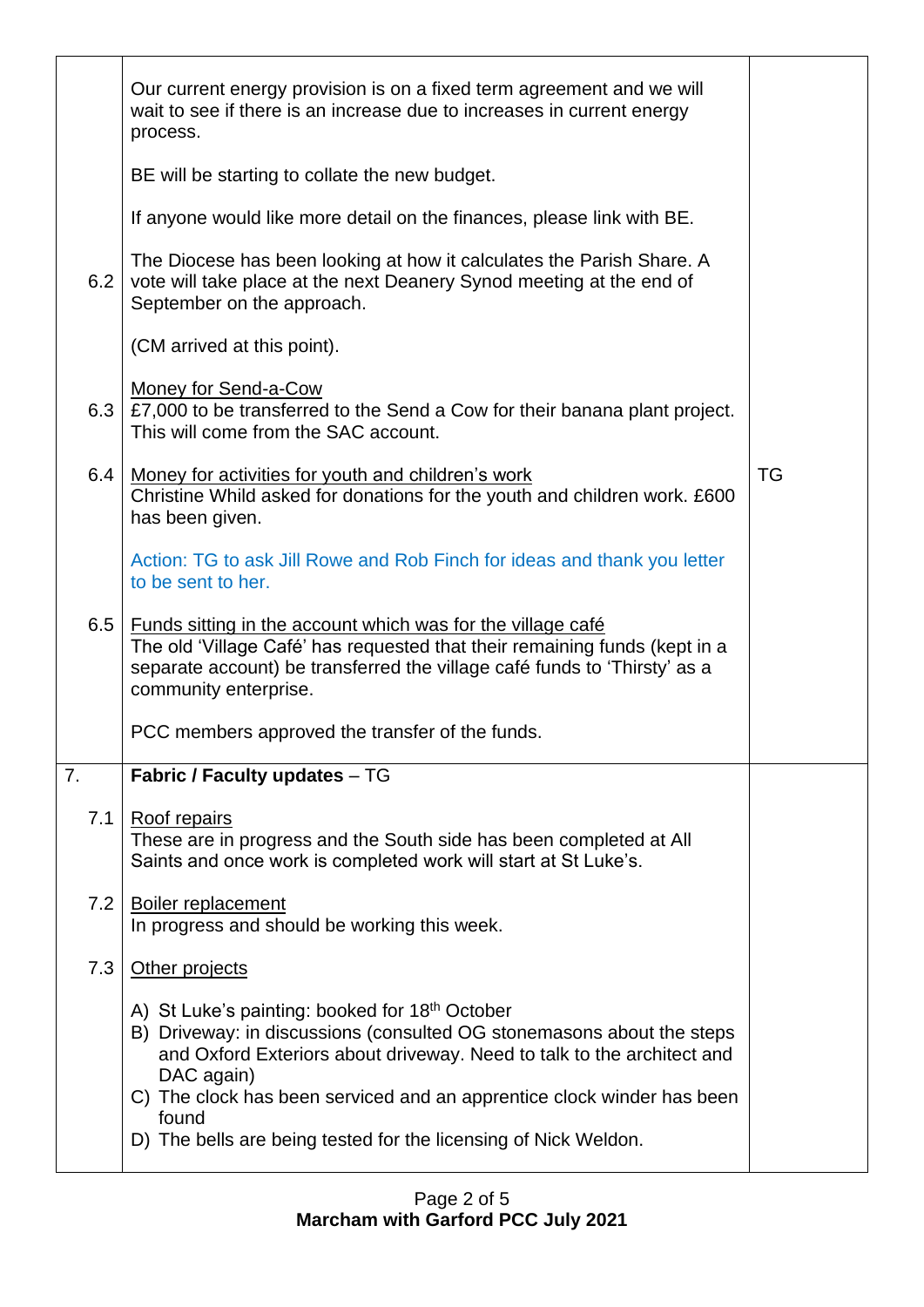|     | Our current energy provision is on a fixed term agreement and we will<br>wait to see if there is an increase due to increases in current energy<br>process.                                                                                                                                                                                                                       |    |
|-----|-----------------------------------------------------------------------------------------------------------------------------------------------------------------------------------------------------------------------------------------------------------------------------------------------------------------------------------------------------------------------------------|----|
|     | BE will be starting to collate the new budget.                                                                                                                                                                                                                                                                                                                                    |    |
|     | If anyone would like more detail on the finances, please link with BE.                                                                                                                                                                                                                                                                                                            |    |
| 6.2 | The Diocese has been looking at how it calculates the Parish Share. A<br>vote will take place at the next Deanery Synod meeting at the end of<br>September on the approach.                                                                                                                                                                                                       |    |
|     | (CM arrived at this point).                                                                                                                                                                                                                                                                                                                                                       |    |
| 6.3 | <b>Money for Send-a-Cow</b><br>£7,000 to be transferred to the Send a Cow for their banana plant project.<br>This will come from the SAC account.                                                                                                                                                                                                                                 |    |
| 6.4 | Money for activities for youth and children's work<br>Christine Whild asked for donations for the youth and children work. £600<br>has been given.                                                                                                                                                                                                                                | TG |
|     | Action: TG to ask Jill Rowe and Rob Finch for ideas and thank you letter<br>to be sent to her.                                                                                                                                                                                                                                                                                    |    |
| 6.5 | <u>Funds sitting in the account which was for the village café</u><br>The old 'Village Café' has requested that their remaining funds (kept in a<br>separate account) be transferred the village café funds to 'Thirsty' as a<br>community enterprise.                                                                                                                            |    |
|     | PCC members approved the transfer of the funds.                                                                                                                                                                                                                                                                                                                                   |    |
| 7.  | Fabric / Faculty updates - TG                                                                                                                                                                                                                                                                                                                                                     |    |
| 7.1 | Roof repairs<br>These are in progress and the South side has been completed at All<br>Saints and once work is completed work will start at St Luke's.                                                                                                                                                                                                                             |    |
| 7.2 | <b>Boiler replacement</b><br>In progress and should be working this week.                                                                                                                                                                                                                                                                                                         |    |
| 7.3 | Other projects                                                                                                                                                                                                                                                                                                                                                                    |    |
|     | A) St Luke's painting: booked for 18 <sup>th</sup> October<br>B) Driveway: in discussions (consulted OG stonemasons about the steps<br>and Oxford Exteriors about driveway. Need to talk to the architect and<br>DAC again)<br>C) The clock has been serviced and an apprentice clock winder has been<br>found<br>D) The bells are being tested for the licensing of Nick Weldon. |    |
|     |                                                                                                                                                                                                                                                                                                                                                                                   |    |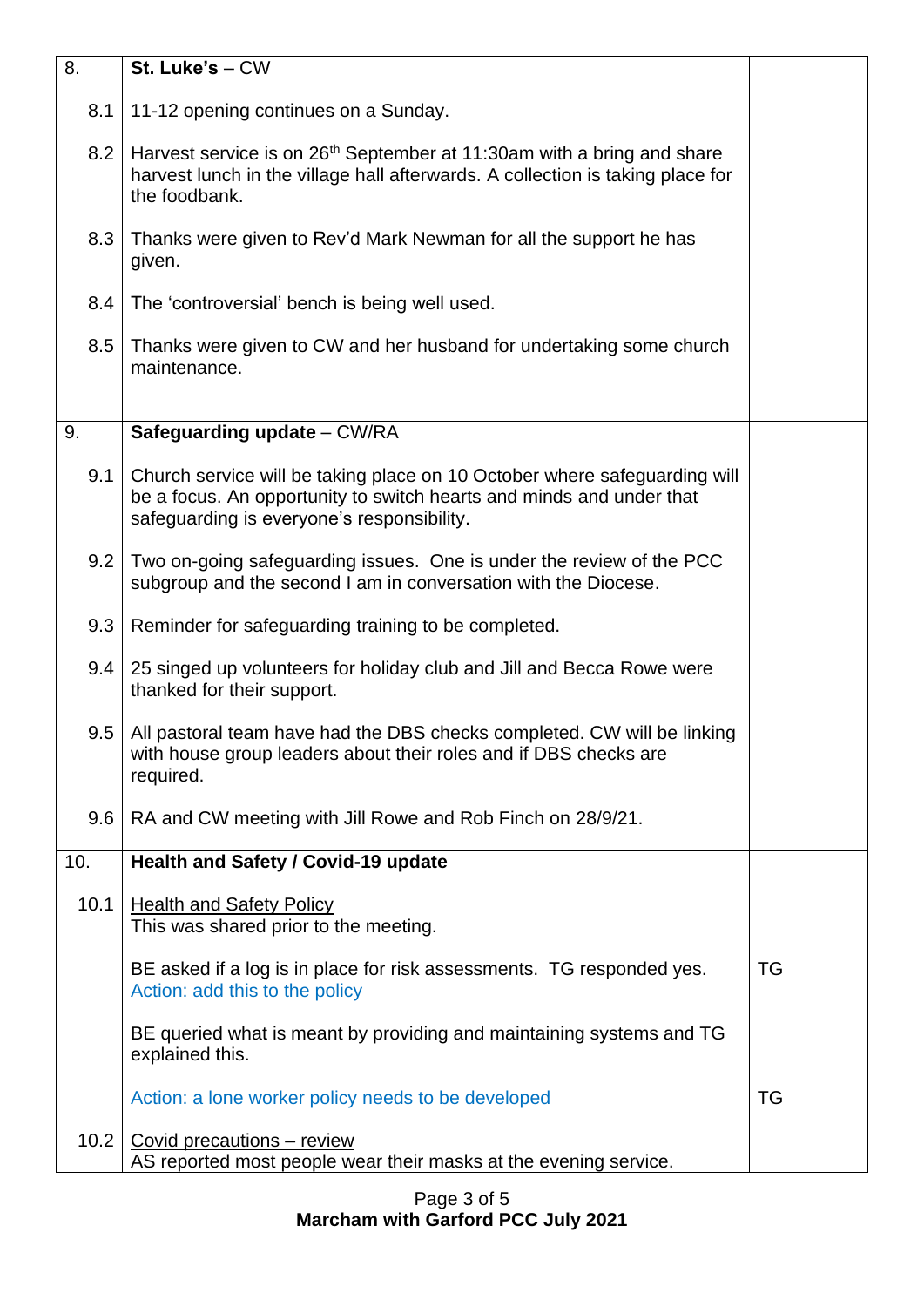| 8.   | St. Luke's - CW                                                                                                                                                                                 |           |
|------|-------------------------------------------------------------------------------------------------------------------------------------------------------------------------------------------------|-----------|
| 8.1  | 11-12 opening continues on a Sunday.                                                                                                                                                            |           |
| 8.2  | Harvest service is on 26 <sup>th</sup> September at 11:30am with a bring and share<br>harvest lunch in the village hall afterwards. A collection is taking place for<br>the foodbank.           |           |
| 8.3  | Thanks were given to Rev'd Mark Newman for all the support he has<br>given.                                                                                                                     |           |
| 8.4  | The 'controversial' bench is being well used.                                                                                                                                                   |           |
| 8.5  | Thanks were given to CW and her husband for undertaking some church<br>maintenance.                                                                                                             |           |
| 9.   | Safeguarding update - CW/RA                                                                                                                                                                     |           |
| 9.1  | Church service will be taking place on 10 October where safeguarding will<br>be a focus. An opportunity to switch hearts and minds and under that<br>safeguarding is everyone's responsibility. |           |
| 9.2  | Two on-going safeguarding issues. One is under the review of the PCC<br>subgroup and the second I am in conversation with the Diocese.                                                          |           |
| 9.3  | Reminder for safeguarding training to be completed.                                                                                                                                             |           |
| 9.4  | 25 singed up volunteers for holiday club and Jill and Becca Rowe were<br>thanked for their support.                                                                                             |           |
| 9.5  | All pastoral team have had the DBS checks completed. CW will be linking<br>with house group leaders about their roles and if DBS checks are<br>required.                                        |           |
| 9.6  | RA and CW meeting with Jill Rowe and Rob Finch on 28/9/21.                                                                                                                                      |           |
| 10.  | Health and Safety / Covid-19 update                                                                                                                                                             |           |
| 10.1 | <b>Health and Safety Policy</b><br>This was shared prior to the meeting.                                                                                                                        |           |
|      | BE asked if a log is in place for risk assessments. TG responded yes.<br>Action: add this to the policy                                                                                         | <b>TG</b> |
|      | BE queried what is meant by providing and maintaining systems and TG<br>explained this.                                                                                                         |           |
|      | Action: a lone worker policy needs to be developed                                                                                                                                              | TG        |
| 10.2 | Covid precautions - review<br>AS reported most people wear their masks at the evening service.                                                                                                  |           |

### Page 3 of 5 **Marcham with Garford PCC July 2021**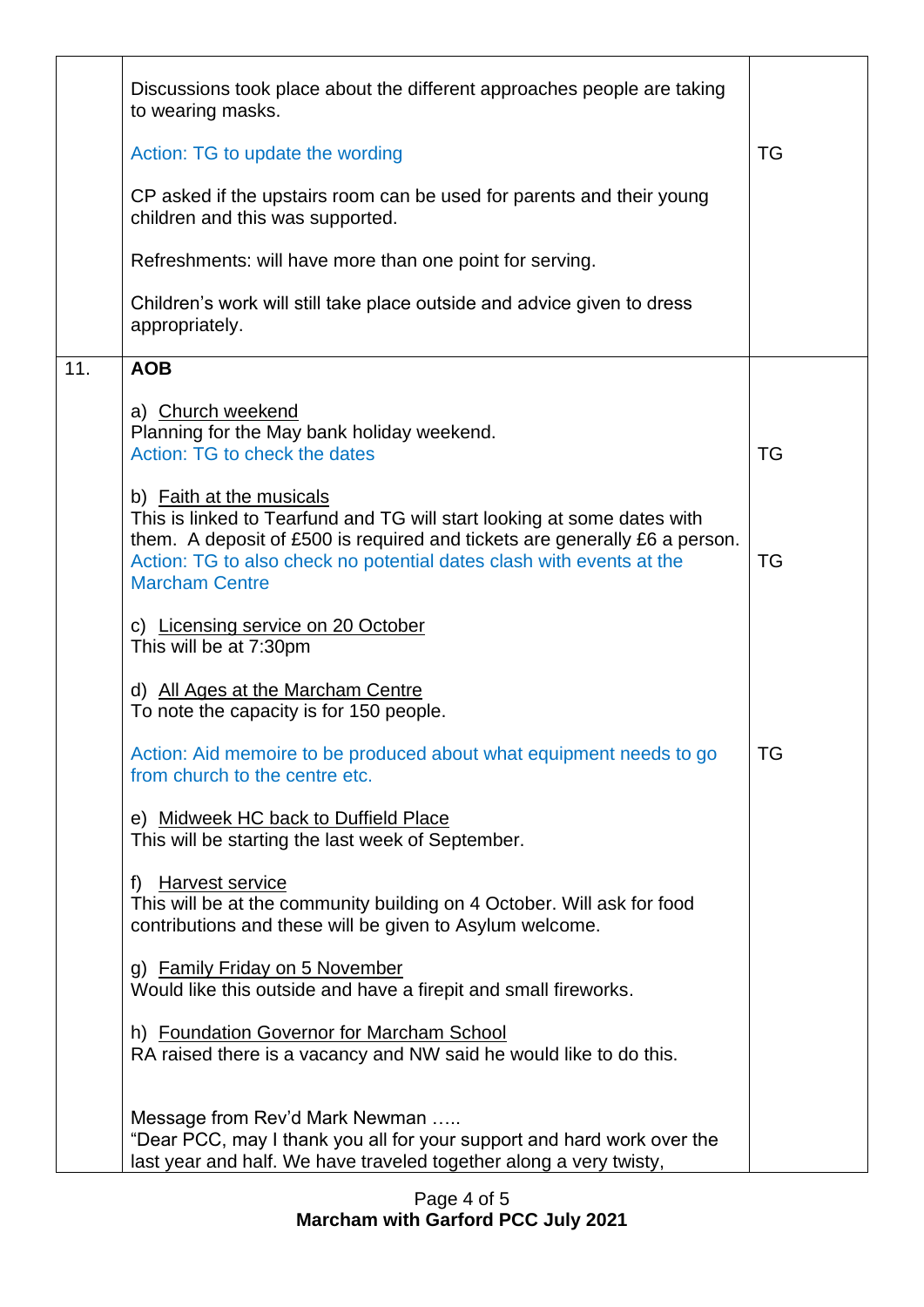|     | Discussions took place about the different approaches people are taking<br>to wearing masks.                                                                                                                                                                                       |           |
|-----|------------------------------------------------------------------------------------------------------------------------------------------------------------------------------------------------------------------------------------------------------------------------------------|-----------|
|     | Action: TG to update the wording                                                                                                                                                                                                                                                   | <b>TG</b> |
|     | CP asked if the upstairs room can be used for parents and their young<br>children and this was supported.                                                                                                                                                                          |           |
|     | Refreshments: will have more than one point for serving.                                                                                                                                                                                                                           |           |
|     | Children's work will still take place outside and advice given to dress<br>appropriately.                                                                                                                                                                                          |           |
| 11. | <b>AOB</b>                                                                                                                                                                                                                                                                         |           |
|     | a) Church weekend<br>Planning for the May bank holiday weekend.<br>Action: TG to check the dates                                                                                                                                                                                   | <b>TG</b> |
|     | b) Faith at the musicals<br>This is linked to Tearfund and TG will start looking at some dates with<br>them. A deposit of £500 is required and tickets are generally £6 a person.<br>Action: TG to also check no potential dates clash with events at the<br><b>Marcham Centre</b> | <b>TG</b> |
|     | c) Licensing service on 20 October<br>This will be at 7:30pm                                                                                                                                                                                                                       |           |
|     | d) All Ages at the Marcham Centre<br>To note the capacity is for 150 people.                                                                                                                                                                                                       |           |
|     | Action: Aid memoire to be produced about what equipment needs to go<br>from church to the centre etc.                                                                                                                                                                              | TG        |
|     | e) Midweek HC back to Duffield Place<br>This will be starting the last week of September.                                                                                                                                                                                          |           |
|     | <u>Harvest service</u><br>f)<br>This will be at the community building on 4 October. Will ask for food<br>contributions and these will be given to Asylum welcome.                                                                                                                 |           |
|     | g) Family Friday on 5 November<br>Would like this outside and have a firepit and small fireworks.                                                                                                                                                                                  |           |
|     | h) Foundation Governor for Marcham School<br>RA raised there is a vacancy and NW said he would like to do this.                                                                                                                                                                    |           |
|     | Message from Rev'd Mark Newman<br>"Dear PCC, may I thank you all for your support and hard work over the<br>last year and half. We have traveled together along a very twisty,                                                                                                     |           |

#### Page 4 of 5 **Marcham with Garford PCC July 2021**